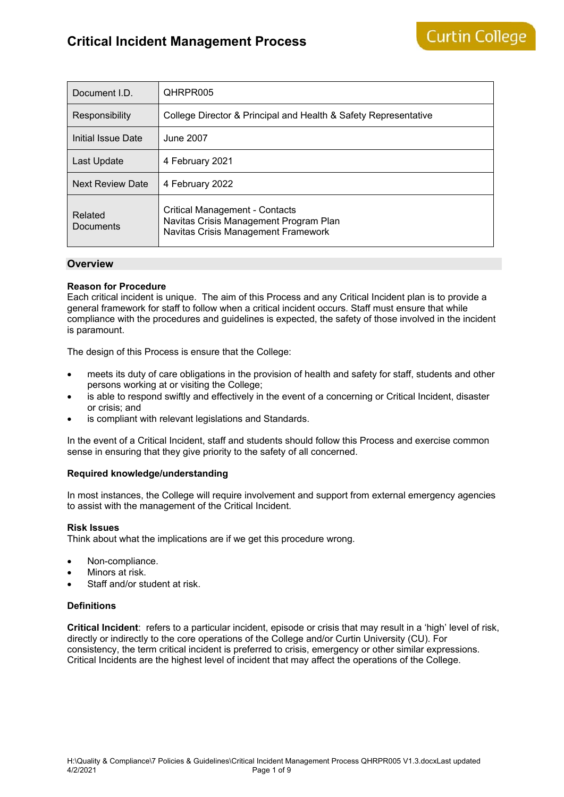# **Critical Incident Management Process**

| Document I.D.           | QHRPR005                                                                                                        |  |  |  |
|-------------------------|-----------------------------------------------------------------------------------------------------------------|--|--|--|
| Responsibility          | College Director & Principal and Health & Safety Representative                                                 |  |  |  |
| Initial Issue Date      | June 2007                                                                                                       |  |  |  |
| Last Update             | 4 February 2021                                                                                                 |  |  |  |
| <b>Next Review Date</b> | 4 February 2022                                                                                                 |  |  |  |
| Related<br>Documents    | Critical Management - Contacts<br>Navitas Crisis Management Program Plan<br>Navitas Crisis Management Framework |  |  |  |

### **Overview**

### **Reason for Procedure**

Each critical incident is unique. The aim of this Process and any Critical Incident plan is to provide a general framework for staff to follow when a critical incident occurs. Staff must ensure that while compliance with the procedures and guidelines is expected, the safety of those involved in the incident is paramount.

The design of this Process is ensure that the College:

- meets its duty of care obligations in the provision of health and safety for staff, students and other persons working at or visiting the College;
- is able to respond swiftly and effectively in the event of a concerning or Critical Incident, disaster or crisis; and
- is compliant with relevant legislations and Standards.

In the event of a Critical Incident, staff and students should follow this Process and exercise common sense in ensuring that they give priority to the safety of all concerned.

#### **Required knowledge/understanding**

In most instances, the College will require involvement and support from external emergency agencies to assist with the management of the Critical Incident.

#### **Risk Issues**

Think about what the implications are if we get this procedure wrong.

- Non-compliance.
- Minors at risk.
- Staff and/or student at risk.

### **Definitions**

**Critical Incident**: refers to a particular incident, episode or crisis that may result in a 'high' level of risk, directly or indirectly to the core operations of the College and/or Curtin University (CU). For consistency, the term critical incident is preferred to crisis, emergency or other similar expressions. Critical Incidents are the highest level of incident that may affect the operations of the College.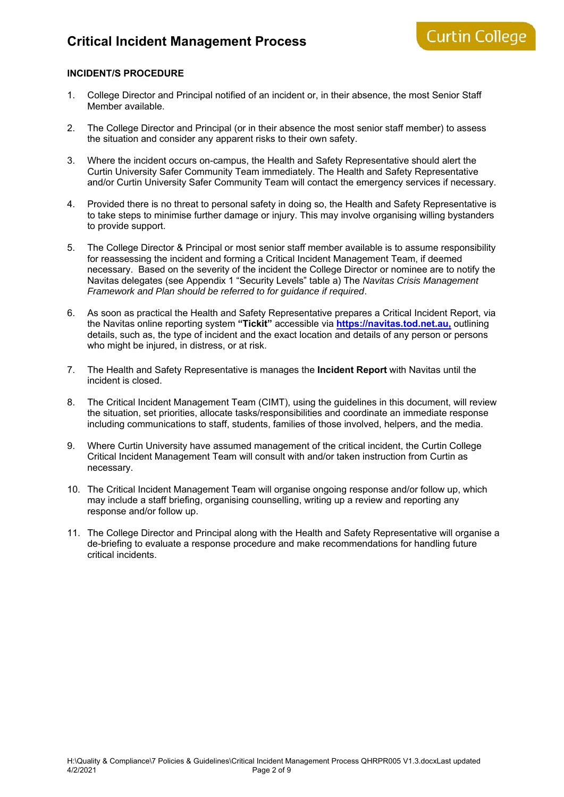## **INCIDENT/S PROCEDURE**

- 1. College Director and Principal notified of an incident or, in their absence, the most Senior Staff Member available.
- 2. The College Director and Principal (or in their absence the most senior staff member) to assess the situation and consider any apparent risks to their own safety.
- 3. Where the incident occurs on-campus, the Health and Safety Representative should alert the Curtin University Safer Community Team immediately. The Health and Safety Representative and/or Curtin University Safer Community Team will contact the emergency services if necessary.
- 4. Provided there is no threat to personal safety in doing so, the Health and Safety Representative is to take steps to minimise further damage or injury. This may involve organising willing bystanders to provide support.
- 5. The College Director & Principal or most senior staff member available is to assume responsibility for reassessing the incident and forming a Critical Incident Management Team, if deemed necessary. Based on the severity of the incident the College Director or nominee are to notify the Navitas delegates (see Appendix 1 "Security Levels" table a) The *Navitas Crisis Management Framework and Plan should be referred to for guidance if required*.
- 6. As soon as practical the Health and Safety Representative prepares a Critical Incident Report, via the Navitas online reporting system **"Tickit"** accessible via **https://navitas.tod.net.au,** outlining details, such as, the type of incident and the exact location and details of any person or persons who might be injured, in distress, or at risk.
- 7. The Health and Safety Representative is manages the **Incident Report** with Navitas until the incident is closed.
- 8. The Critical Incident Management Team (CIMT), using the guidelines in this document, will review the situation, set priorities, allocate tasks/responsibilities and coordinate an immediate response including communications to staff, students, families of those involved, helpers, and the media.
- 9. Where Curtin University have assumed management of the critical incident, the Curtin College Critical Incident Management Team will consult with and/or taken instruction from Curtin as necessary.
- 10. The Critical Incident Management Team will organise ongoing response and/or follow up, which may include a staff briefing, organising counselling, writing up a review and reporting any response and/or follow up.
- 11. The College Director and Principal along with the Health and Safety Representative will organise a de-briefing to evaluate a response procedure and make recommendations for handling future critical incidents.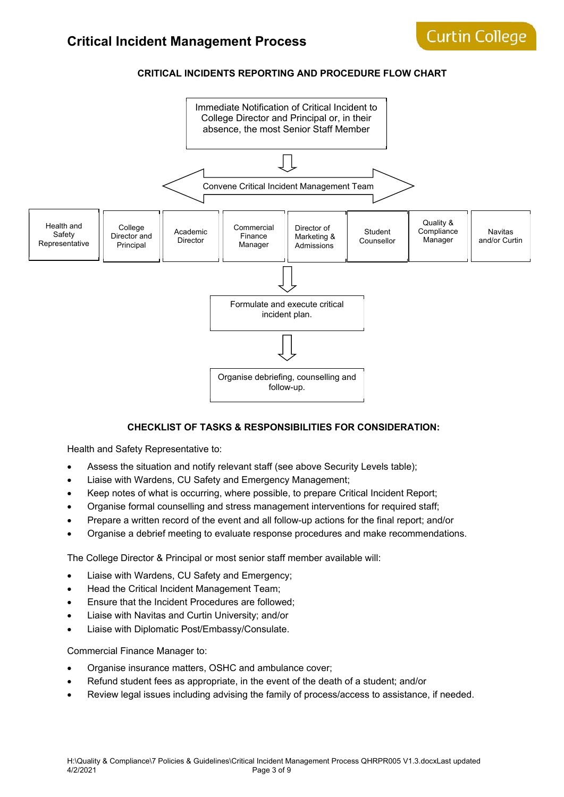## **CRITICAL INCIDENTS REPORTING AND PROCEDURE FLOW CHART**



### **CHECKLIST OF TASKS & RESPONSIBILITIES FOR CONSIDERATION:**

Health and Safety Representative to:

- Assess the situation and notify relevant staff (see above Security Levels table);
- Liaise with Wardens, CU Safety and Emergency Management;
- Keep notes of what is occurring, where possible, to prepare Critical Incident Report;
- Organise formal counselling and stress management interventions for required staff;
- Prepare a written record of the event and all follow-up actions for the final report; and/or
- Organise a debrief meeting to evaluate response procedures and make recommendations.

The College Director & Principal or most senior staff member available will:

- Liaise with Wardens, CU Safety and Emergency;
- Head the Critical Incident Management Team:
- **Ensure that the Incident Procedures are followed;**
- Liaise with Navitas and Curtin University; and/or
- Liaise with Diplomatic Post/Embassy/Consulate.

Commercial Finance Manager to:

- Organise insurance matters, OSHC and ambulance cover;
- Refund student fees as appropriate, in the event of the death of a student; and/or
- Review legal issues including advising the family of process/access to assistance, if needed.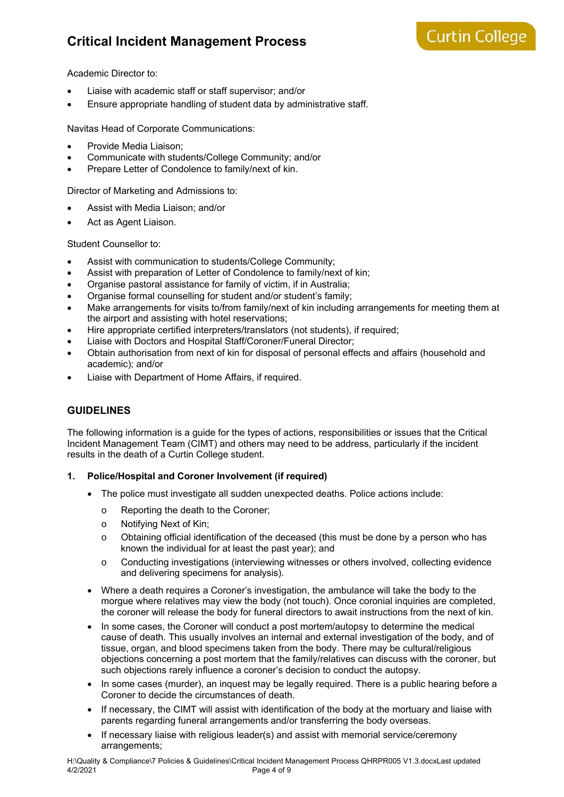# **Critical Incident Management Process**

Academic Director to:

- Liaise with academic staff or staff supervisor; and/or
- Ensure appropriate handling of student data by administrative staff.

Navitas Head of Corporate Communications:

- Provide Media Liaison;
- Communicate with students/College Community; and/or
- Prepare Letter of Condolence to family/next of kin.

Director of Marketing and Admissions to:

- Assist with Media Liaison; and/or
- Act as Agent Liaison.

Student Counsellor to:

- Assist with communication to students/College Community;
- Assist with preparation of Letter of Condolence to family/next of kin;
- Organise pastoral assistance for family of victim, if in Australia;
- Organise formal counselling for student and/or student's family;
- Make arrangements for visits to/from family/next of kin including arrangements for meeting them at the airport and assisting with hotel reservations;
- Hire appropriate certified interpreters/translators (not students), if required;
- Liaise with Doctors and Hospital Staff/Coroner/Funeral Director;
- Obtain authorisation from next of kin for disposal of personal effects and affairs (household and academic); and/or
- Liaise with Department of Home Affairs, if required.

# **GUIDELINES**

The following information is a guide for the types of actions, responsibilities or issues that the Critical Incident Management Team (CIMT) and others may need to be address, particularly if the incident results in the death of a Curtin College student.

### **1. Police/Hospital and Coroner Involvement (if required)**

- The police must investigate all sudden unexpected deaths. Police actions include:
	- o Reporting the death to the Coroner;
	- o Notifying Next of Kin;
	- $\circ$  Obtaining official identification of the deceased (this must be done by a person who has known the individual for at least the past year); and
	- o Conducting investigations (interviewing witnesses or others involved, collecting evidence and delivering specimens for analysis).
- Where a death requires a Coroner's investigation, the ambulance will take the body to the morgue where relatives may view the body (not touch). Once coronial inquiries are completed, the coroner will release the body for funeral directors to await instructions from the next of kin.
- In some cases, the Coroner will conduct a post mortem/autopsy to determine the medical cause of death. This usually involves an internal and external investigation of the body, and of tissue, organ, and blood specimens taken from the body. There may be cultural/religious objections concerning a post mortem that the family/relatives can discuss with the coroner, but such objections rarely influence a coroner's decision to conduct the autopsy.
- In some cases (murder), an inquest may be legally required. There is a public hearing before a Coroner to decide the circumstances of death.
- If necessary, the CIMT will assist with identification of the body at the mortuary and liaise with parents regarding funeral arrangements and/or transferring the body overseas.
- If necessary liaise with religious leader(s) and assist with memorial service/ceremony arrangements;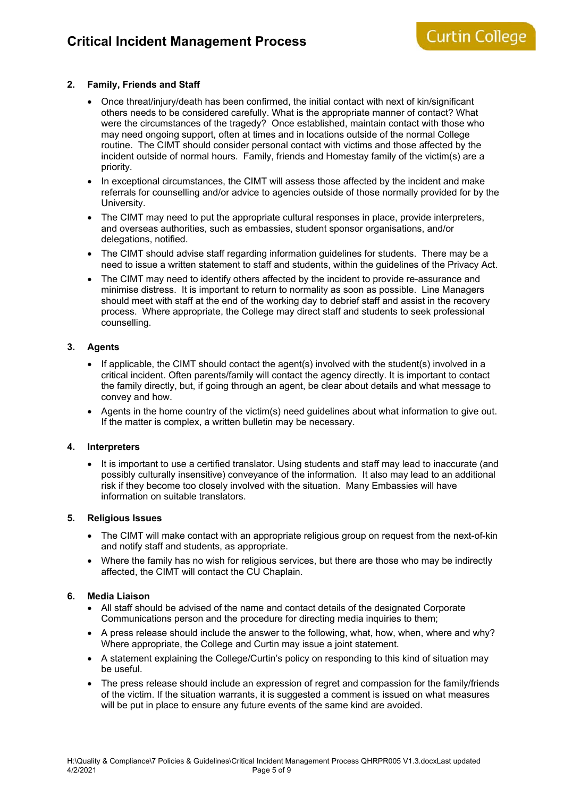### **2. Family, Friends and Staff**

- Once threat/injury/death has been confirmed, the initial contact with next of kin/significant others needs to be considered carefully. What is the appropriate manner of contact? What were the circumstances of the tragedy? Once established, maintain contact with those who may need ongoing support, often at times and in locations outside of the normal College routine. The CIMT should consider personal contact with victims and those affected by the incident outside of normal hours. Family, friends and Homestay family of the victim(s) are a priority.
- In exceptional circumstances, the CIMT will assess those affected by the incident and make referrals for counselling and/or advice to agencies outside of those normally provided for by the University.
- The CIMT may need to put the appropriate cultural responses in place, provide interpreters, and overseas authorities, such as embassies, student sponsor organisations, and/or delegations, notified.
- The CIMT should advise staff regarding information guidelines for students. There may be a need to issue a written statement to staff and students, within the guidelines of the Privacy Act.
- The CIMT may need to identify others affected by the incident to provide re-assurance and minimise distress. It is important to return to normality as soon as possible. Line Managers should meet with staff at the end of the working day to debrief staff and assist in the recovery process. Where appropriate, the College may direct staff and students to seek professional counselling.

## **3. Agents**

- $\bullet$  If applicable, the CIMT should contact the agent(s) involved with the student(s) involved in a critical incident. Often parents/family will contact the agency directly. It is important to contact the family directly, but, if going through an agent, be clear about details and what message to convey and how.
- Agents in the home country of the victim(s) need guidelines about what information to give out. If the matter is complex, a written bulletin may be necessary.

### **4. Interpreters**

• It is important to use a certified translator. Using students and staff may lead to inaccurate (and possibly culturally insensitive) conveyance of the information. It also may lead to an additional risk if they become too closely involved with the situation. Many Embassies will have information on suitable translators.

#### **5. Religious Issues**

- The CIMT will make contact with an appropriate religious group on request from the next-of-kin and notify staff and students, as appropriate.
- Where the family has no wish for religious services, but there are those who may be indirectly affected, the CIMT will contact the CU Chaplain.

### **6. Media Liaison**

- All staff should be advised of the name and contact details of the designated Corporate Communications person and the procedure for directing media inquiries to them;
- A press release should include the answer to the following, what, how, when, where and why? Where appropriate, the College and Curtin may issue a joint statement.
- A statement explaining the College/Curtin's policy on responding to this kind of situation may be useful.
- The press release should include an expression of regret and compassion for the family/friends of the victim. If the situation warrants, it is suggested a comment is issued on what measures will be put in place to ensure any future events of the same kind are avoided.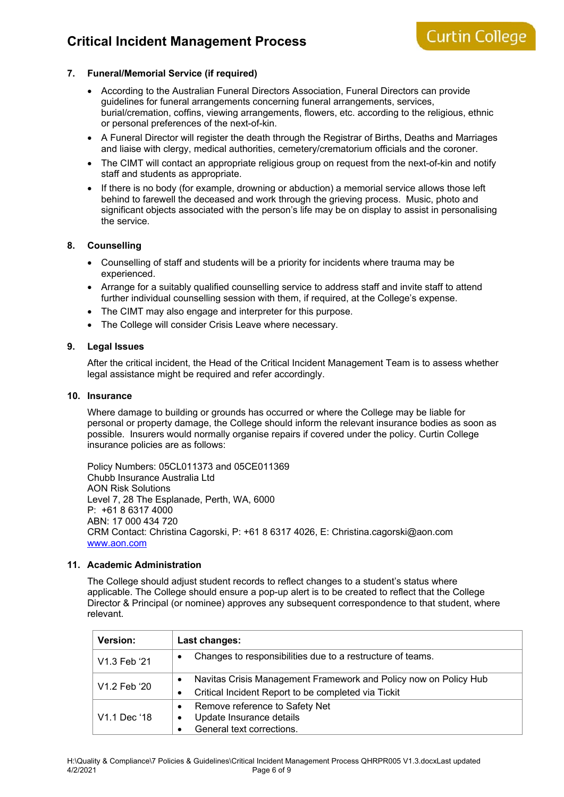# **Critical Incident Management Process**

### **7. Funeral/Memorial Service (if required)**

- According to the Australian Funeral Directors Association, Funeral Directors can provide guidelines for funeral arrangements concerning funeral arrangements, services, burial/cremation, coffins, viewing arrangements, flowers, etc. according to the religious, ethnic or personal preferences of the next-of-kin.
- A Funeral Director will register the death through the Registrar of Births, Deaths and Marriages and liaise with clergy, medical authorities, cemetery/crematorium officials and the coroner.
- The CIMT will contact an appropriate religious group on request from the next-of-kin and notify staff and students as appropriate.
- If there is no body (for example, drowning or abduction) a memorial service allows those left behind to farewell the deceased and work through the grieving process. Music, photo and significant objects associated with the person's life may be on display to assist in personalising the service.

### **8. Counselling**

- Counselling of staff and students will be a priority for incidents where trauma may be experienced.
- Arrange for a suitably qualified counselling service to address staff and invite staff to attend further individual counselling session with them, if required, at the College's expense.
- The CIMT may also engage and interpreter for this purpose.
- The College will consider Crisis Leave where necessary.

### **9. Legal Issues**

After the critical incident, the Head of the Critical Incident Management Team is to assess whether legal assistance might be required and refer accordingly.

#### **10. Insurance**

Where damage to building or grounds has occurred or where the College may be liable for personal or property damage, the College should inform the relevant insurance bodies as soon as possible. Insurers would normally organise repairs if covered under the policy. Curtin College insurance policies are as follows:

Policy Numbers: 05CL011373 and 05CE011369 Chubb Insurance Australia Ltd AON Risk Solutions Level 7, 28 The Esplanade, Perth, WA, 6000 P: +61 8 6317 4000 ABN: 17 000 434 720 CRM Contact: Christina Cagorski, P: +61 8 6317 4026, E: Christina.cagorski@aon.com www.aon.com

### **11. Academic Administration**

The College should adjust student records to reflect changes to a student's status where applicable. The College should ensure a pop-up alert is to be created to reflect that the College Director & Principal (or nominee) approves any subsequent correspondence to that student, where relevant.

| Version:                 | Last changes:                                                         |  |  |  |
|--------------------------|-----------------------------------------------------------------------|--|--|--|
| V1.3 Feb '21             | Changes to responsibilities due to a restructure of teams.<br>٠       |  |  |  |
| V1.2 Feb '20             | Navitas Crisis Management Framework and Policy now on Policy Hub<br>٠ |  |  |  |
|                          | Critical Incident Report to be completed via Tickit<br>٠              |  |  |  |
| V <sub>1.1</sub> Dec '18 | Remove reference to Safety Net<br>$\bullet$                           |  |  |  |
|                          | Update Insurance details<br>٠                                         |  |  |  |
|                          | General text corrections.                                             |  |  |  |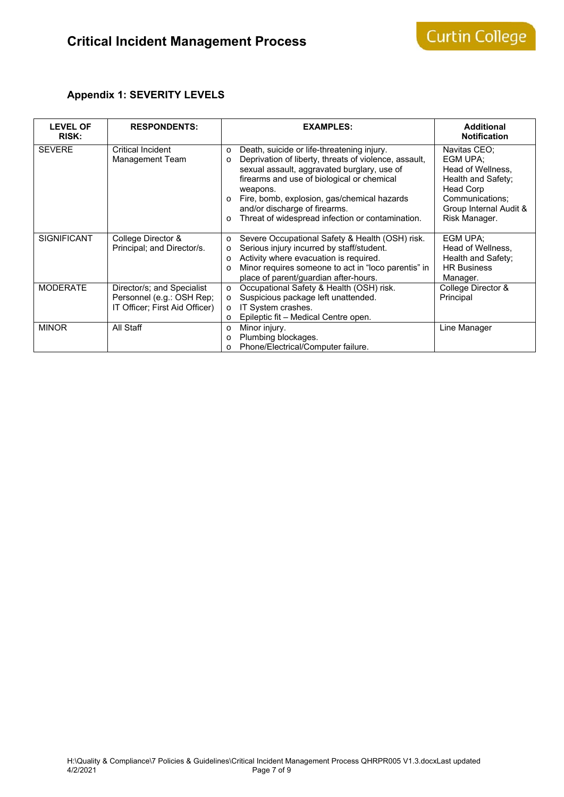# **Appendix 1: SEVERITY LEVELS**

| <b>LEVEL OF</b><br><b>RISK:</b> | <b>RESPONDENTS:</b>                                                                       | <b>EXAMPLES:</b>                                                                                                                                                                                                                                                                                                                                                                               | <b>Additional</b><br><b>Notification</b>                                                                                                       |
|---------------------------------|-------------------------------------------------------------------------------------------|------------------------------------------------------------------------------------------------------------------------------------------------------------------------------------------------------------------------------------------------------------------------------------------------------------------------------------------------------------------------------------------------|------------------------------------------------------------------------------------------------------------------------------------------------|
| <b>SEVERE</b>                   | <b>Critical Incident</b><br>Management Team                                               | Death, suicide or life-threatening injury.<br>$\circ$<br>Deprivation of liberty, threats of violence, assault,<br>$\circ$<br>sexual assault, aggravated burglary, use of<br>firearms and use of biological or chemical<br>weapons.<br>Fire, bomb, explosion, gas/chemical hazards<br>$\Omega$<br>and/or discharge of firearms.<br>Threat of widespread infection or contamination.<br>$\Omega$ | Navitas CEO;<br>EGM UPA:<br>Head of Wellness,<br>Health and Safety;<br>Head Corp<br>Communications;<br>Group Internal Audit &<br>Risk Manager. |
| <b>SIGNIFICANT</b>              | College Director &<br>Principal; and Director/s.                                          | Severe Occupational Safety & Health (OSH) risk.<br>$\circ$<br>Serious injury incurred by staff/student.<br>$\circ$<br>Activity where evacuation is required.<br>O<br>Minor requires someone to act in "loco parentis" in<br>$\circ$<br>place of parent/guardian after-hours.                                                                                                                   | EGM UPA;<br>Head of Wellness,<br>Health and Safety;<br><b>HR Business</b><br>Manager.                                                          |
| <b>MODERATE</b>                 | Director/s; and Specialist<br>Personnel (e.g.: OSH Rep;<br>IT Officer; First Aid Officer) | Occupational Safety & Health (OSH) risk.<br>$\circ$<br>Suspicious package left unattended.<br>$\Omega$<br>IT System crashes.<br>$\circ$<br>Epileptic fit – Medical Centre open.<br>$\circ$                                                                                                                                                                                                     | College Director &<br>Principal                                                                                                                |
| <b>MINOR</b>                    | All Staff                                                                                 | Minor injury.<br>O<br>Plumbing blockages.<br>O<br>Phone/Electrical/Computer failure.<br>$\circ$                                                                                                                                                                                                                                                                                                | Line Manager                                                                                                                                   |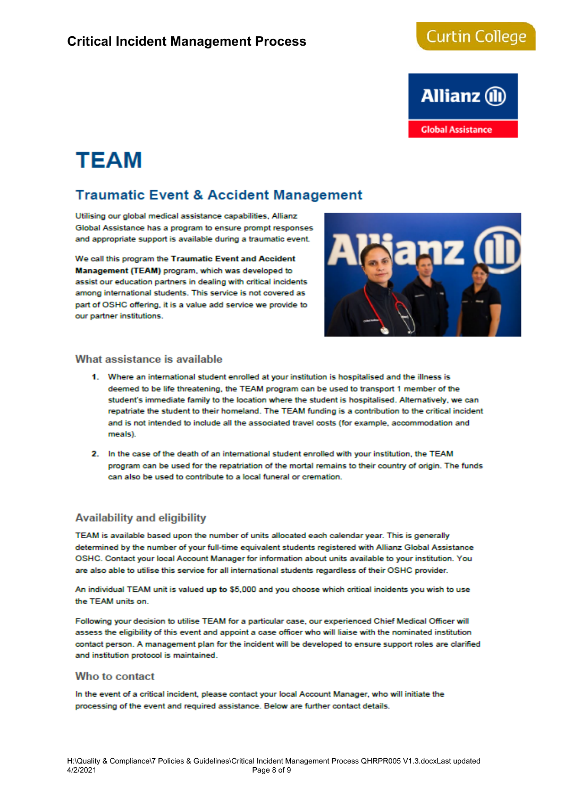# **Curtin College**



# **TEAM**

# **Traumatic Event & Accident Management**

Utilising our global medical assistance capabilities. Allianz Global Assistance has a program to ensure prompt responses and appropriate support is available during a traumatic event.

We call this program the Traumatic Event and Accident Management (TEAM) program, which was developed to assist our education partners in dealing with critical incidents among international students. This service is not covered as part of OSHC offering, it is a value add service we provide to our partner institutions.



### What assistance is available

- 1. Where an international student enrolled at your institution is hospitalised and the illness is deemed to be life threatening, the TEAM program can be used to transport 1 member of the student's immediate family to the location where the student is hospitalised. Alternatively, we can repatriate the student to their homeland. The TEAM funding is a contribution to the critical incident and is not intended to include all the associated travel costs (for example, accommodation and  $meals$
- 2. In the case of the death of an international student enrolled with your institution, the TEAM program can be used for the repatriation of the mortal remains to their country of origin. The funds can also be used to contribute to a local funeral or cremation.

# **Availability and eligibility**

TEAM is available based upon the number of units allocated each calendar year. This is generally determined by the number of your full-time equivalent students registered with Allianz Global Assistance OSHC. Contact your local Account Manager for information about units available to your institution. You are also able to utilise this service for all international students regardless of their OSHC provider.

An individual TEAM unit is valued up to \$5,000 and you choose which critical incidents you wish to use the TEAM units on.

Following your decision to utilise TEAM for a particular case, our experienced Chief Medical Officer will assess the eligibility of this event and appoint a case officer who will liaise with the nominated institution contact person. A management plan for the incident will be developed to ensure support roles are clarified and institution protocol is maintained.

#### Who to contact

In the event of a critical incident, please contact your local Account Manager, who will initiate the processing of the event and required assistance. Below are further contact details.